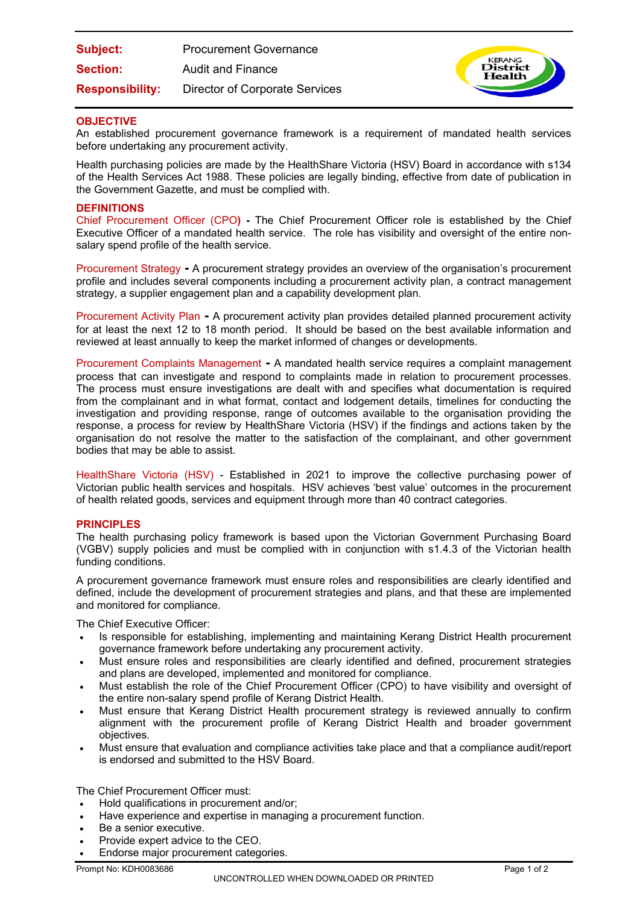| <b>Subject:</b>        | <b>Procurement Governance</b>         |
|------------------------|---------------------------------------|
| <b>Section:</b>        | Audit and Finance                     |
| <b>Responsibility:</b> | <b>Director of Corporate Services</b> |



# **OBJECTIVE**

An established procurement governance framework is a requirement of mandated health services before undertaking any procurement activity.

Health purchasing policies are made by the HealthShare Victoria (HSV) Board in accordance with s134 of the Health Services Act 1988. These policies are legally binding, effective from date of publication in the Government Gazette, and must be complied with.

## **DEFINITIONS**

Chief Procurement Officer (CPO**) -** The Chief Procurement Officer role is established by the Chief Executive Officer of a mandated health service. The role has visibility and oversight of the entire nonsalary spend profile of the health service.

Procurement Strategy **-** A procurement strategy provides an overview of the organisation's procurement profile and includes several components including a procurement activity plan, a contract management strategy, a supplier engagement plan and a capability development plan.

Procurement Activity Plan **-** A procurement activity plan provides detailed planned procurement activity for at least the next 12 to 18 month period. It should be based on the best available information and reviewed at least annually to keep the market informed of changes or developments.

Procurement Complaints Management **-** A mandated health service requires a complaint management process that can investigate and respond to complaints made in relation to procurement processes. The process must ensure investigations are dealt with and specifies what documentation is required from the complainant and in what format, contact and lodgement details, timelines for conducting the investigation and providing response, range of outcomes available to the organisation providing the response, a process for review by HealthShare Victoria (HSV) if the findings and actions taken by the organisation do not resolve the matter to the satisfaction of the complainant, and other government bodies that may be able to assist.

HealthShare Victoria (HSV) - Established in 2021 to improve the collective purchasing power of Victorian public health services and hospitals. HSV achieves 'best value' outcomes in the procurement of health related goods, services and equipment through more than 40 contract categories.

## **PRINCIPLES**

The health purchasing policy framework is based upon the Victorian Government Purchasing Board (VGBV) supply policies and must be complied with in conjunction with s1.4.3 of the Victorian health funding conditions.

A procurement governance framework must ensure roles and responsibilities are clearly identified and defined, include the development of procurement strategies and plans, and that these are implemented and monitored for compliance.

The Chief Executive Officer:

- Is responsible for establishing, implementing and maintaining Kerang District Health procurement governance framework before undertaking any procurement activity.
- Must ensure roles and responsibilities are clearly identified and defined, procurement strategies and plans are developed, implemented and monitored for compliance.
- Must establish the role of the Chief Procurement Officer (CPO) to have visibility and oversight of the entire non-salary spend profile of Kerang District Health.
- Must ensure that Kerang District Health procurement strategy is reviewed annually to confirm alignment with the procurement profile of Kerang District Health and broader government objectives.
- Must ensure that evaluation and compliance activities take place and that a compliance audit/report is endorsed and submitted to the HSV Board.

The Chief Procurement Officer must:

- Hold qualifications in procurement and/or;
- Have experience and expertise in managing a procurement function.
- Be a senior executive.
- Provide expert advice to the CEO.
- Endorse major procurement categories.